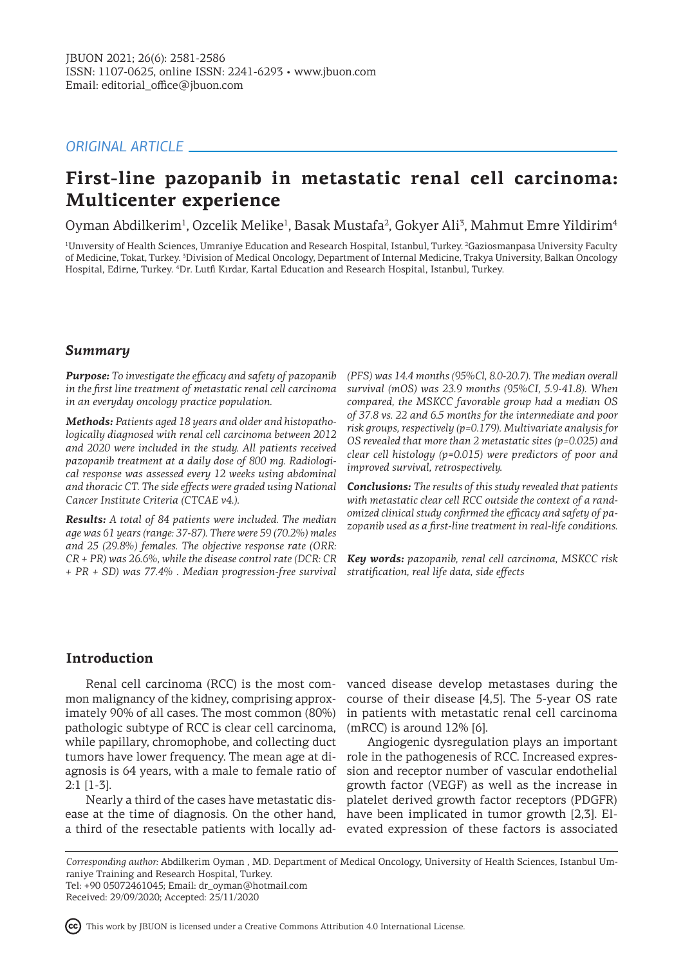# *ORIGINAL ARTICLE*

# **First-line pazopanib in metastatic renal cell carcinoma: Multicenter experience**

Oyman Abdilkerim<sup>1</sup>, Ozcelik Melike<sup>1</sup>, Basak Mustafa<sup>2</sup>, Gokyer Ali<sup>3</sup>, Mahmut Emre Yildirim<sup>4</sup>

<sup>1</sup>University of Health Sciences, Umraniye Education and Research Hospital, Istanbul, Turkey. <sup>2</sup>Gaziosmanpasa University Faculty of Medicine, Tokat, Turkey. <sup>3</sup> Division of Medical Oncology, Department of Internal Medicine, Trakya University, Balkan Oncology Hospital, Edirne, Turkey. <sup>4</sup> Dr. Lutfi Kırdar, Kartal Education and Research Hospital, Istanbul, Turkey.

# *Summary*

*Purpose: To investigate the efficacy and safety of pazopanib in the first line treatment of metastatic renal cell carcinoma in an everyday oncology practice population.*

*Methods: Patients aged 18 years and older and histopathologically diagnosed with renal cell carcinoma between 2012 and 2020 were included in the study. All patients received pazopanib treatment at a daily dose of 800 mg. Radiological response was assessed every 12 weeks using abdominal and thoracic CT. The side effects were graded using National Cancer Institute Criteria (CTCAE v4.).*

*Results: A total of 84 patients were included. The median age was 61 years (range: 37-87). There were 59 (70.2%) males and 25 (29.8%) females. The objective response rate (ORR: CR + PR) was 26.6%, while the disease control rate (DCR: CR + PR + SD) was 77.4% . Median progression-free survival* 

*(PFS) was 14.4 months (95%Cl, 8.0-20.7). The median overall survival (mOS) was 23.9 months (95%CI, 5.9-41.8). When compared, the MSKCC favorable group had a median OS of 37.8 vs. 22 and 6.5 months for the intermediate and poor risk groups, respectively (p=0.179). Multivariate analysis for OS revealed that more than 2 metastatic sites (p=0.025) and clear cell histology (p=0.015) were predictors of poor and improved survival, retrospectively.*

*Conclusions: The results of this study revealed that patients with metastatic clear cell RCC outside the context of a randomized clinical study confirmed the efficacy and safety of pazopanib used as a first-line treatment in real-life conditions.*

*Key words: pazopanib, renal cell carcinoma, MSKCC risk stratification, real life data, side effects*

# **Introduction**

mon malignancy of the kidney, comprising approximately 90% of all cases. The most common (80%) pathologic subtype of RCC is clear cell carcinoma, while papillary, chromophobe, and collecting duct tumors have lower frequency. The mean age at diagnosis is 64 years, with a male to female ratio of 2:1 [1-3].

Nearly a third of the cases have metastatic disease at the time of diagnosis. On the other hand, a third of the resectable patients with locally ad-

Renal cell carcinoma (RCC) is the most com-vanced disease develop metastases during the course of their disease [4,5]. The 5-year OS rate in patients with metastatic renal cell carcinoma  $(mRCC)$  is around  $12\%$  [6].

> Angiogenic dysregulation plays an important role in the pathogenesis of RCC. Increased expression and receptor number of vascular endothelial growth factor (VEGF) as well as the increase in platelet derived growth factor receptors (PDGFR) have been implicated in tumor growth [2,3]. Elevated expression of these factors is associated

*Corresponding author:* Abdilkerim Oyman , MD. Department of Medical Oncology, University of Health Sciences, Istanbul Umraniye Training and Research Hospital, Turkey. Tel: +90 05072461045; Email: dr\_oyman@hotmail.com

Received: 29/09/2020; Accepted: 25/11/2020

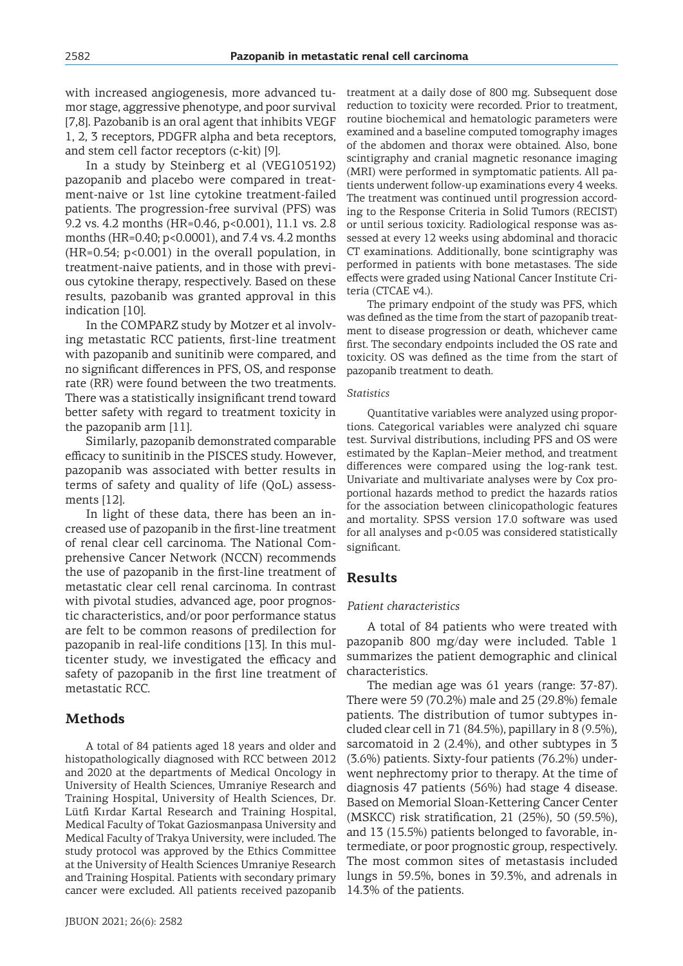with increased angiogenesis, more advanced tumor stage, aggressive phenotype, and poor survival [7,8]. Pazobanib is an oral agent that inhibits VEGF 1, 2, 3 receptors, PDGFR alpha and beta receptors, and stem cell factor receptors (c-kit) [9].

In a study by Steinberg et al (VEG105192) pazopanib and placebo were compared in treatment-naive or 1st line cytokine treatment-failed patients. The progression-free survival (PFS) was 9.2 vs. 4.2 months (HR=0.46, p<0.001), 11.1 vs. 2.8 months (HR=0.40; p<0.0001), and 7.4 vs. 4.2 months  $(HR=0.54; p<0.001)$  in the overall population, in treatment-naive patients, and in those with previous cytokine therapy, respectively. Based on these results, pazobanib was granted approval in this indication [10].

In the COMPARZ study by Motzer et al involving metastatic RCC patients, first-line treatment with pazopanib and sunitinib were compared, and no significant differences in PFS, OS, and response rate (RR) were found between the two treatments. There was a statistically insignificant trend toward better safety with regard to treatment toxicity in the pazopanib arm [11].

Similarly, pazopanib demonstrated comparable efficacy to sunitinib in the PISCES study. However, pazopanib was associated with better results in terms of safety and quality of life (QoL) assessments [12].

In light of these data, there has been an increased use of pazopanib in the first-line treatment of renal clear cell carcinoma. The National Comprehensive Cancer Network (NCCN) recommends the use of pazopanib in the first-line treatment of metastatic clear cell renal carcinoma. In contrast with pivotal studies, advanced age, poor prognostic characteristics, and/or poor performance status are felt to be common reasons of predilection for pazopanib in real-life conditions [13]. In this multicenter study, we investigated the efficacy and safety of pazopanib in the first line treatment of metastatic RCC.

# **Methods**

A total of 84 patients aged 18 years and older and histopathologically diagnosed with RCC between 2012 and 2020 at the departments of Medical Oncology in University of Health Sciences, Umraniye Research and Training Hospital, University of Health Sciences, Dr. Lütfi Kırdar Kartal Research and Training Hospital, Medical Faculty of Tokat Gaziosmanpasa University and Medical Faculty of Trakya University, were included. The study protocol was approved by the Ethics Committee at the University of Health Sciences Umraniye Research and Training Hospital. Patients with secondary primary cancer were excluded. All patients received pazopanib treatment at a daily dose of 800 mg. Subsequent dose reduction to toxicity were recorded. Prior to treatment, routine biochemical and hematologic parameters were examined and a baseline computed tomography images of the abdomen and thorax were obtained. Also, bone scintigraphy and cranial magnetic resonance imaging (MRI) were performed in symptomatic patients. All patients underwent follow-up examinations every 4 weeks. The treatment was continued until progression according to the Response Criteria in Solid Tumors (RECIST) or until serious toxicity. Radiological response was assessed at every 12 weeks using abdominal and thoracic CT examinations. Additionally, bone scintigraphy was performed in patients with bone metastases. The side effects were graded using National Cancer Institute Criteria (CTCAE v4.).

The primary endpoint of the study was PFS, which was defined as the time from the start of pazopanib treatment to disease progression or death, whichever came first. The secondary endpoints included the OS rate and toxicity. OS was defined as the time from the start of pazopanib treatment to death.

### *Statistics*

Quantitative variables were analyzed using proportions. Categorical variables were analyzed chi square test. Survival distributions, including PFS and OS were estimated by the Kaplan–Meier method, and treatment differences were compared using the log-rank test. Univariate and multivariate analyses were by Cox proportional hazards method to predict the hazards ratios for the association between clinicopathologic features and mortality. SPSS version 17.0 software was used for all analyses and p<0.05 was considered statistically significant.

# **Results**

#### *Patient characteristics*

A total of 84 patients who were treated with pazopanib 800 mg/day were included. Table 1 summarizes the patient demographic and clinical characteristics.

The median age was 61 years (range: 37-87). There were 59 (70.2%) male and 25 (29.8%) female patients. The distribution of tumor subtypes included clear cell in 71 (84.5%), papillary in 8 (9.5%), sarcomatoid in 2 (2.4%), and other subtypes in 3 (3.6%) patients. Sixty-four patients (76.2%) underwent nephrectomy prior to therapy. At the time of diagnosis 47 patients (56%) had stage 4 disease. Based on Memorial Sloan-Kettering Cancer Center (MSKCC) risk stratification, 21 (25%), 50 (59.5%), and 13 (15.5%) patients belonged to favorable, intermediate, or poor prognostic group, respectively. The most common sites of metastasis included lungs in 59.5%, bones in 39.3%, and adrenals in 14.3% of the patients.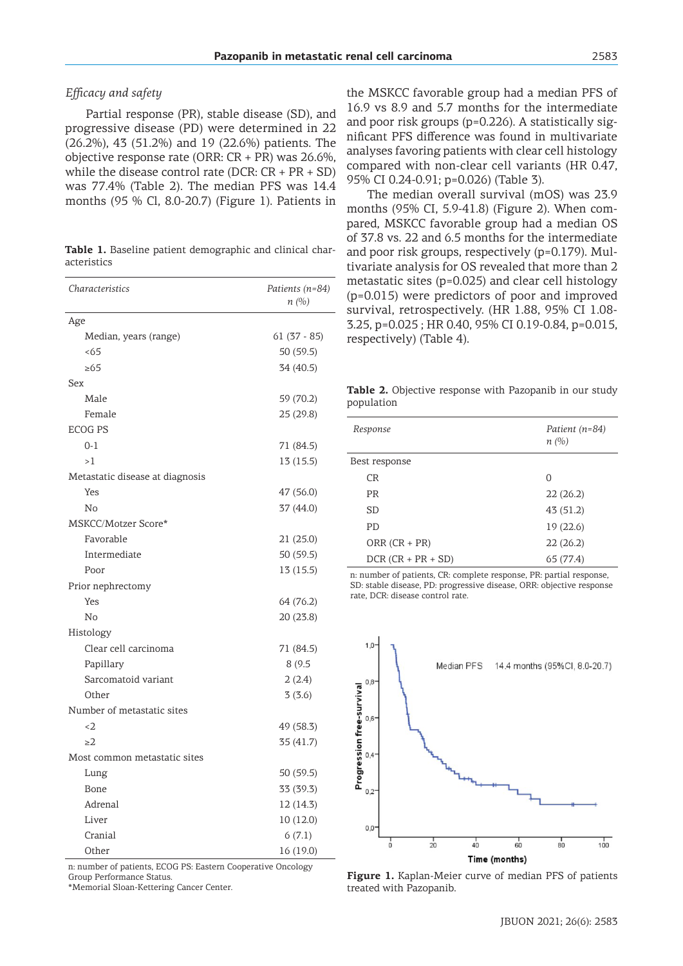### *Efficacy and safety*

Partial response (PR), stable disease (SD), and progressive disease (PD) were determined in 22 (26.2%), 43 (51.2%) and 19 (22.6%) patients. The objective response rate (ORR: CR + PR) was 26.6%, while the disease control rate (DCR:  $CR + PR + SD$ ) was 77.4% (Table 2). The median PFS was 14.4 months (95 % Cl, 8.0-20.7) (Figure 1). Patients in

**Table 1.** Baseline patient demographic and clinical characteristics

| Characteristics                 | Patients (n=84)<br>n(%) |
|---------------------------------|-------------------------|
| Age                             |                         |
| Median, years (range)           | $61(37 - 85)$           |
| < 65                            | 50 (59.5)               |
| $\geq 65$                       | 34 (40.5)               |
| Sex                             |                         |
| Male                            | 59 (70.2)               |
| Female                          | 25 (29.8)               |
| <b>ECOG PS</b>                  |                         |
| $0 - 1$                         | 71 (84.5)               |
| >1                              | 13 (15.5)               |
| Metastatic disease at diagnosis |                         |
| Yes                             | 47 (56.0)               |
| No                              | 37 (44.0)               |
| <b>MSKCC/Motzer Score*</b>      |                         |
| Favorable                       | 21 (25.0)               |
| Intermediate                    | 50 (59.5)               |
| Poor                            | 13(15.5)                |
| Prior nephrectomy               |                         |
| Yes                             | 64 (76.2)               |
| No                              | 20 (23.8)               |
| Histology                       |                         |
| Clear cell carcinoma            | 71 (84.5)               |
| Papillary                       | 8(9.5)                  |
| Sarcomatoid variant             | 2(2.4)                  |
| Other                           | 3(3.6)                  |
| Number of metastatic sites      |                         |
| $\langle 2$                     | 49 (58.3)               |
| $\geq$ 2                        | 35 (41.7)               |
| Most common metastatic sites    |                         |
| Lung                            | 50 (59.5)               |
| Bone                            | 33 (39.3)               |
| Adrenal                         | 12(14.3)                |
| Liver                           | 10(12.0)                |
| Cranial                         | 6(7.1)                  |
| Other                           | 16 (19.0)               |

n: number of patients, ECOG PS: Eastern Cooperative Oncology Group Performance Status.

\*Memorial Sloan-Kettering Cancer Center.

the MSKCC favorable group had a median PFS of 16.9 vs 8.9 and 5.7 months for the intermediate and poor risk groups (p=0.226). A statistically significant PFS difference was found in multivariate analyses favoring patients with clear cell histology compared with non-clear cell variants (HR 0.47, 95% CI 0.24-0.91; p=0.026) (Table 3).

The median overall survival (mOS) was 23.9 months (95% CI, 5.9-41.8) (Figure 2). When compared, MSKCC favorable group had a median OS of 37.8 vs. 22 and 6.5 months for the intermediate and poor risk groups, respectively (p=0.179). Multivariate analysis for OS revealed that more than 2 metastatic sites (p=0.025) and clear cell histology (p=0.015) were predictors of poor and improved survival, retrospectively. (HR 1.88, 95% CI 1.08- 3.25, p=0.025 ; HR 0.40, 95% CI 0.19-0.84, p=0.015, respectively) (Table 4).

**Table 2.** Objective response with Pazopanib in our study population

| Response             | Patient (n=84)<br>n(%) |
|----------------------|------------------------|
| Best response        |                        |
| <b>CR</b>            | ∩                      |
| <b>PR</b>            | 22(26.2)               |
| SD                   | 43 (51.2)              |
| P <sub>D</sub>       | 19(22.6)               |
| ORR $(CR + PR)$      | 22(26.2)               |
| $DCR (CR + PR + SD)$ | 65 (77.4)              |

n: number of patients, CR: complete response, PR: partial response, SD: stable disease, PD: progressive disease, ORR: objective response rate, DCR: disease control rate.



**Figure 1.** Kaplan-Meier curve of median PFS of patients treated with Pazopanib.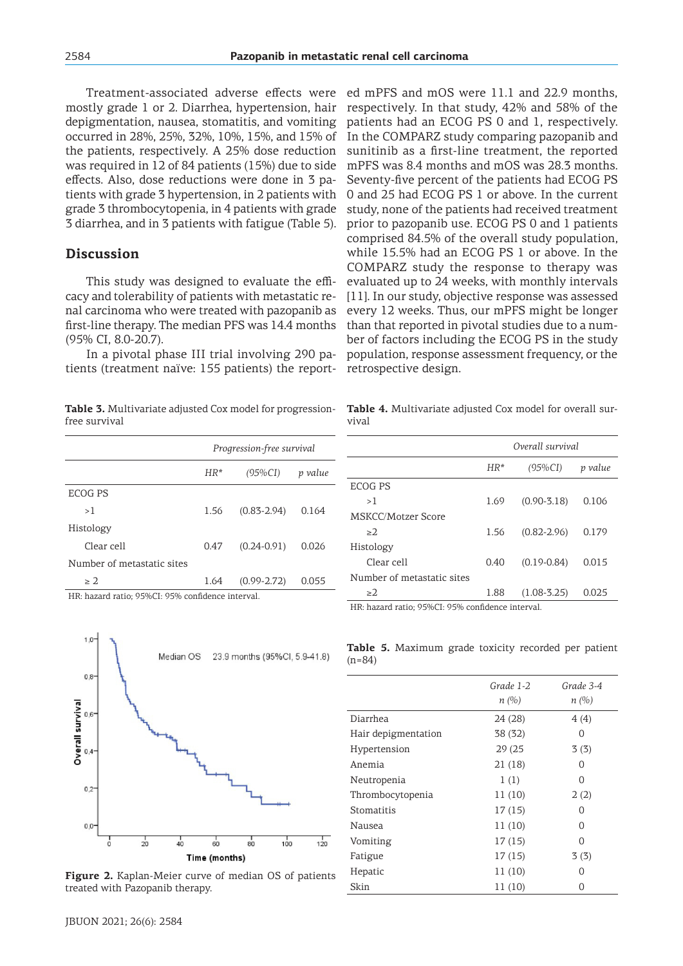Treatment-associated adverse effects were mostly grade 1 or 2. Diarrhea, hypertension, hair depigmentation, nausea, stomatitis, and vomiting occurred in 28%, 25%, 32%, 10%, 15%, and 15% of the patients, respectively. A 25% dose reduction was required in 12 of 84 patients (15%) due to side effects. Also, dose reductions were done in 3 patients with grade 3 hypertension, in 2 patients with grade 3 thrombocytopenia, in 4 patients with grade 3 diarrhea, and in 3 patients with fatigue (Table 5).

# **Discussion**

This study was designed to evaluate the efficacy and tolerability of patients with metastatic renal carcinoma who were treated with pazopanib as first-line therapy. The median PFS was 14.4 months (95% CI, 8.0-20.7).

In a pivotal phase III trial involving 290 patients (treatment naïve: 155 patients) the report-

**Table 3.** Multivariate adjusted Cox model for progressionfree survival

|                            | Progression-free survival |                 |         |
|----------------------------|---------------------------|-----------------|---------|
|                            | $HR*$                     | $(95\%CI)$      | p value |
| ECOG PS                    |                           |                 |         |
| >1                         | 1.56                      | $(0.83 - 2.94)$ | 0.164   |
| Histology                  |                           |                 |         |
| Clear cell                 | 0.47                      | $(0.24 - 0.91)$ | 0.026   |
| Number of metastatic sites |                           |                 |         |
| > 2.                       | 1.64                      | $(0.99 - 2.72)$ | 0.055   |

HR: hazard ratio; 95%CI: 95% confidence interval.



**Figure 2.** Kaplan-Meier curve of median OS of patients treated with Pazopanib therapy.

ed mPFS and mOS were 11.1 and 22.9 months, respectively. In that study, 42% and 58% of the patients had an ECOG PS 0 and 1, respectively. In the COMPARZ study comparing pazopanib and sunitinib as a first-line treatment, the reported mPFS was 8.4 months and mOS was 28.3 months. Seventy-five percent of the patients had ECOG PS 0 and 25 had ECOG PS 1 or above. In the current study, none of the patients had received treatment prior to pazopanib use. ECOG PS 0 and 1 patients comprised 84.5% of the overall study population, while 15.5% had an ECOG PS 1 or above. In the COMPARZ study the response to therapy was evaluated up to 24 weeks, with monthly intervals [11]. In our study, objective response was assessed every 12 weeks. Thus, our mPFS might be longer than that reported in pivotal studies due to a number of factors including the ECOG PS in the study population, response assessment frequency, or the retrospective design.

**Table 4.** Multivariate adjusted Cox model for overall survival

|                            | Overall survival |                 |         |
|----------------------------|------------------|-----------------|---------|
|                            | $HR*$            | $(95\%CI)$      | p value |
| ECOG PS                    |                  |                 |         |
| >1                         | 1.69             | $(0.90 - 3.18)$ | 0.106   |
| MSKCC/Motzer Score         |                  |                 |         |
| >2                         | 1.56             | $(0.82 - 2.96)$ | 0.179   |
| Histology                  |                  |                 |         |
| Clear cell                 | 0.40             | $(0.19 - 0.84)$ | 0.015   |
| Number of metastatic sites |                  |                 |         |
| $\geq$ 2                   | 1.88             | $(1.08 - 3.25)$ | 0.025   |

HR: hazard ratio; 95%CI: 95% confidence interval.

**Table 5.** Maximum grade toxicity recorded per patient  $(n=84)$ 

|                     | Grade 1-2<br>n(%) | Grade 3-4<br>n(%) |
|---------------------|-------------------|-------------------|
| Diarrhea            | 24 (28)           | 4(4)              |
| Hair depigmentation | 38 (32)           | O                 |
| Hypertension        | 29 (25            | 3(3)              |
| Anemia              | 21(18)            | O                 |
| Neutropenia         | 1(1)              | O                 |
| Thrombocytopenia    | 11 (10)           | 2(2)              |
| Stomatitis          | 17(15)            | O                 |
| Nausea              | 11(10)            | 0                 |
| Vomiting            | 17(15)            | O                 |
| Fatigue             | 17(15)            | 3(3)              |
| Hepatic             | 11(10)            | Ω                 |
| Skin                | 11(10)            | 0                 |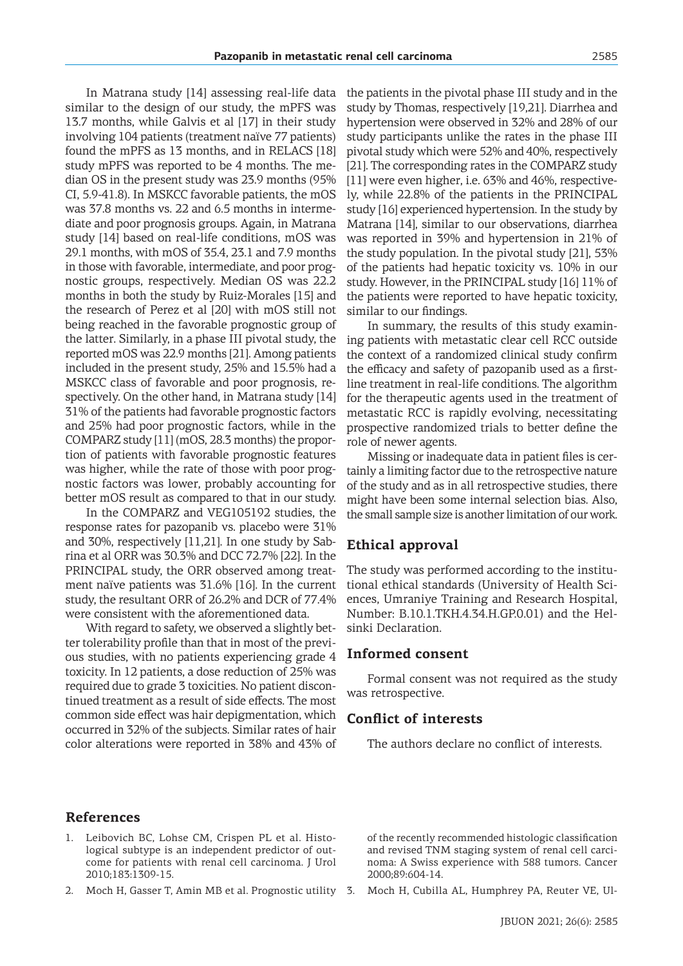In Matrana study [14] assessing real-life data similar to the design of our study, the mPFS was 13.7 months, while Galvis et al [17] in their study involving 104 patients (treatment naïve 77 patients) found the mPFS as 13 months, and in RELACS [18] study mPFS was reported to be 4 months. The median OS in the present study was 23.9 months (95% CI, 5.9-41.8). In MSKCC favorable patients, the mOS was 37.8 months vs. 22 and 6.5 months in intermediate and poor prognosis groups. Again, in Matrana study [14] based on real-life conditions, mOS was 29.1 months, with mOS of 35.4, 23.1 and 7.9 months in those with favorable, intermediate, and poor prognostic groups, respectively. Median OS was 22.2 months in both the study by Ruiz-Morales [15] and the research of Perez et al [20] with mOS still not being reached in the favorable prognostic group of the latter. Similarly, in a phase III pivotal study, the reported mOS was 22.9 months [21]. Among patients included in the present study, 25% and 15.5% had a MSKCC class of favorable and poor prognosis, respectively. On the other hand, in Matrana study [14] 31% of the patients had favorable prognostic factors and 25% had poor prognostic factors, while in the COMPARZ study [11] (mOS, 28.3 months) the proportion of patients with favorable prognostic features was higher, while the rate of those with poor prognostic factors was lower, probably accounting for better mOS result as compared to that in our study.

In the COMPARZ and VEG105192 studies, the response rates for pazopanib vs. placebo were 31% and 30%, respectively [11,21]. In one study by Sabrina et al ORR was 30.3% and DCC 72.7% [22]. In the PRINCIPAL study, the ORR observed among treatment naïve patients was 31.6% [16]. In the current study, the resultant ORR of 26.2% and DCR of 77.4% were consistent with the aforementioned data.

With regard to safety, we observed a slightly better tolerability profile than that in most of the previous studies, with no patients experiencing grade 4 toxicity. In 12 patients, a dose reduction of 25% was required due to grade 3 toxicities. No patient discontinued treatment as a result of side effects. The most common side effect was hair depigmentation, which occurred in 32% of the subjects. Similar rates of hair color alterations were reported in 38% and 43% of the patients in the pivotal phase III study and in the study by Thomas, respectively [19,21]. Diarrhea and hypertension were observed in 32% and 28% of our study participants unlike the rates in the phase III pivotal study which were 52% and 40%, respectively [21]. The corresponding rates in the COMPARZ study [11] were even higher, i.e. 63% and 46%, respectively, while 22.8% of the patients in the PRINCIPAL study [16] experienced hypertension. In the study by Matrana [14], similar to our observations, diarrhea was reported in 39% and hypertension in 21% of the study population. In the pivotal study [21], 53% of the patients had hepatic toxicity vs. 10% in our study. However, in the PRINCIPAL study [16] 11% of the patients were reported to have hepatic toxicity, similar to our findings.

In summary, the results of this study examining patients with metastatic clear cell RCC outside the context of a randomized clinical study confirm the efficacy and safety of pazopanib used as a firstline treatment in real-life conditions. The algorithm for the therapeutic agents used in the treatment of metastatic RCC is rapidly evolving, necessitating prospective randomized trials to better define the role of newer agents.

Missing or inadequate data in patient files is certainly a limiting factor due to the retrospective nature of the study and as in all retrospective studies, there might have been some internal selection bias. Also, the small sample size is another limitation of our work.

# **Ethical approval**

The study was performed according to the institutional ethical standards (University of Health Sciences, Umraniye Training and Research Hospital, Number: B.10.1.TKH.4.34.H.GP.0.01) and the Helsinki Declaration.

# **Informed consent**

Formal consent was not required as the study was retrospective.

#### **Conflict of interests**

The authors declare no conflict of interests.

# **References**

- 1. Leibovich BC, Lohse CM, Crispen PL et al. Histological subtype is an independent predictor of outcome for patients with renal cell carcinoma. J Urol 2010;183:1309-15.
- 2. Moch H, Gasser T, Amin MB et al. Prognostic utility 3.

of the recently recommended histologic classification and revised TNM staging system of renal cell carcinoma: A Swiss experience with 588 tumors. Cancer 2000;89:604-14.

3. Moch H, Cubilla AL, Humphrey PA, Reuter VE, Ul-